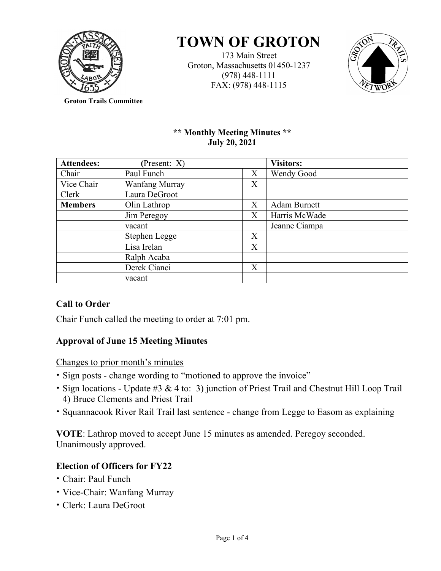

# **TOWN OF GROTON**

173 Main Street Groton, Massachusetts 01450-1237 (978) 448-1111 FAX: (978) 448-1115



**Groton Trails Committee**

## **\*\* Monthly Meeting Minutes \*\* July 20, 2021**

| <b>Attendees:</b> | (Present: X)          |   | <b>Visitors:</b>    |
|-------------------|-----------------------|---|---------------------|
| Chair             | Paul Funch            | X | Wendy Good          |
| Vice Chair        | <b>Wanfang Murray</b> | X |                     |
| Clerk             | Laura DeGroot         |   |                     |
| <b>Members</b>    | Olin Lathrop          | X | <b>Adam Burnett</b> |
|                   | Jim Peregoy           | X | Harris McWade       |
|                   | vacant                |   | Jeanne Ciampa       |
|                   | Stephen Legge         | X |                     |
|                   | Lisa Irelan           | X |                     |
|                   | Ralph Acaba           |   |                     |
|                   | Derek Cianci          | X |                     |
|                   | vacant                |   |                     |

# **Call to Order**

Chair Funch called the meeting to order at 7:01 pm.

# **Approval of June 15 Meeting Minutes**

Changes to prior month's minutes

- Sign posts change wording to "motioned to approve the invoice"
- Sign locations Update #3 & 4 to: 3) junction of Priest Trail and Chestnut Hill Loop Trail 4) Bruce Clements and Priest Trail
- Squannacook River Rail Trail last sentence change from Legge to Easom as explaining

**VOTE**: Lathrop moved to accept June 15 minutes as amended. Peregoy seconded. Unanimously approved.

# **Election of Officers for FY22**

- Chair: Paul Funch
- Vice-Chair: Wanfang Murray
- Clerk: Laura DeGroot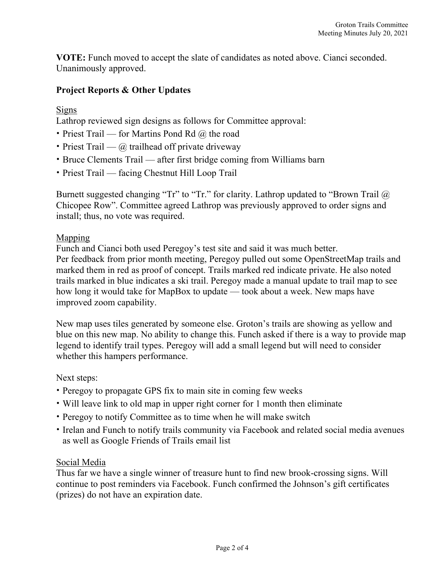**VOTE:** Funch moved to accept the slate of candidates as noted above. Cianci seconded. Unanimously approved.

# **Project Reports & Other Updates**

## **Signs**

Lathrop reviewed sign designs as follows for Committee approval:

- Priest Trail for Martins Pond Rd  $\omega$  the road
- Priest Trail  $\omega$  trailhead off private driveway
- Bruce Clements Trail after first bridge coming from Williams barn
- Priest Trail facing Chestnut Hill Loop Trail

Burnett suggested changing "Tr" to "Tr." for clarity. Lathrop updated to "Brown Trail  $\omega$ Chicopee Row". Committee agreed Lathrop was previously approved to order signs and install; thus, no vote was required.

## Mapping

Funch and Cianci both used Peregoy's test site and said it was much better. Per feedback from prior month meeting, Peregoy pulled out some OpenStreetMap trails and marked them in red as proof of concept. Trails marked red indicate private. He also noted trails marked in blue indicates a ski trail. Peregoy made a manual update to trail map to see how long it would take for MapBox to update — took about a week. New maps have improved zoom capability.

New map uses tiles generated by someone else. Groton's trails are showing as yellow and blue on this new map. No ability to change this. Funch asked if there is a way to provide map legend to identify trail types. Peregoy will add a small legend but will need to consider whether this hampers performance.

# Next steps:

- Peregoy to propagate GPS fix to main site in coming few weeks
- Will leave link to old map in upper right corner for 1 month then eliminate
- Peregoy to notify Committee as to time when he will make switch
- Irelan and Funch to notify trails community via Facebook and related social media avenues as well as Google Friends of Trails email list

# Social Media

Thus far we have a single winner of treasure hunt to find new brook-crossing signs. Will continue to post reminders via Facebook. Funch confirmed the Johnson's gift certificates (prizes) do not have an expiration date.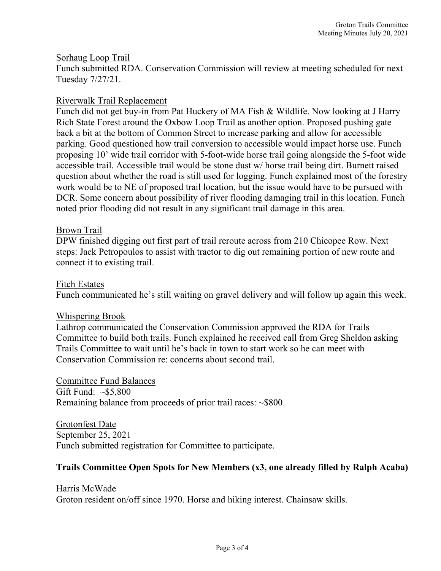#### Sorhaug Loop Trail

Funch submitted RDA. Conservation Commission will review at meeting scheduled for next Tuesday 7/27/21.

#### Riverwalk Trail Replacement

Funch did not get buy-in from Pat Huckery of MA Fish & Wildlife. Now looking at J Harry Rich State Forest around the Oxbow Loop Trail as another option. Proposed pushing gate back a bit at the bottom of Common Street to increase parking and allow for accessible parking. Good questioned how trail conversion to accessible would impact horse use. Funch proposing 10' wide trail corridor with 5-foot-wide horse trail going alongside the 5-foot wide accessible trail. Accessible trail would be stone dust w/ horse trail being dirt. Burnett raised question about whether the road is still used for logging. Funch explained most of the forestry work would be to NE of proposed trail location, but the issue would have to be pursued with DCR. Some concern about possibility of river flooding damaging trail in this location. Funch noted prior flooding did not result in any significant trail damage in this area.

#### Brown Trail

DPW finished digging out first part of trail reroute across from 210 Chicopee Row. Next steps: Jack Petropoulos to assist with tractor to dig out remaining portion of new route and connect it to existing trail.

#### Fitch Estates

Funch communicated he's still waiting on gravel delivery and will follow up again this week.

#### Whispering Brook

Lathrop communicated the Conservation Commission approved the RDA for Trails Committee to build both trails. Funch explained he received call from Greg Sheldon asking Trails Committee to wait until he's back in town to start work so he can meet with Conservation Commission re: concerns about second trail.

Committee Fund Balances Gift Fund:  $\sim$ \$5,800 Remaining balance from proceeds of prior trail races: ~\$800

Grotonfest Date September 25, 2021 Funch submitted registration for Committee to participate.

#### **Trails Committee Open Spots for New Members (x3, one already filled by Ralph Acaba)**

Harris McWade Groton resident on/off since 1970. Horse and hiking interest. Chainsaw skills.